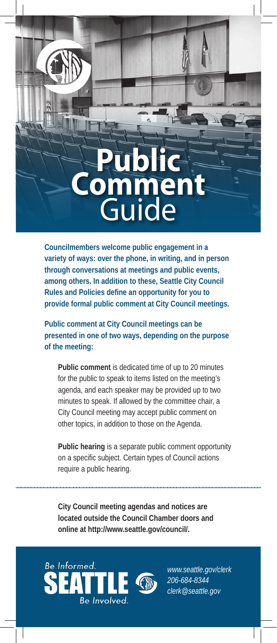# **Public Comment**  Guide

**Councilmembers welcome public engagement in a variety of ways: over the phone, in writing, and in person through conversations at meetings and public events, among others. In addition to these, Seattle City Council Rules and Policies define an opportunity for you to provide formal public comment at City Council meetings.**

**Public comment at City Council meetings can be presented in one of two ways, depending on the purpose of the meeting:** 

**Public comment** is dedicated time of up to 20 minutes for the public to speak to items listed on the meeting's agenda, and each speaker may be provided up to two minutes to speak. If allowed by the committee chair, a City Council meeting may accept public comment on other topics, in addition to those on the Agenda.

**Public hearing** is a separate public comment opportunity on a specific subject. Certain types of Council actions require a public hearing.

**City Council meeting agendas and notices are located outside the Council Chamber doors and online at http://www.seattle.gov/council/.** 



*www.seattle.gov/clerk 206-684-8344 clerk@seattle.gov*